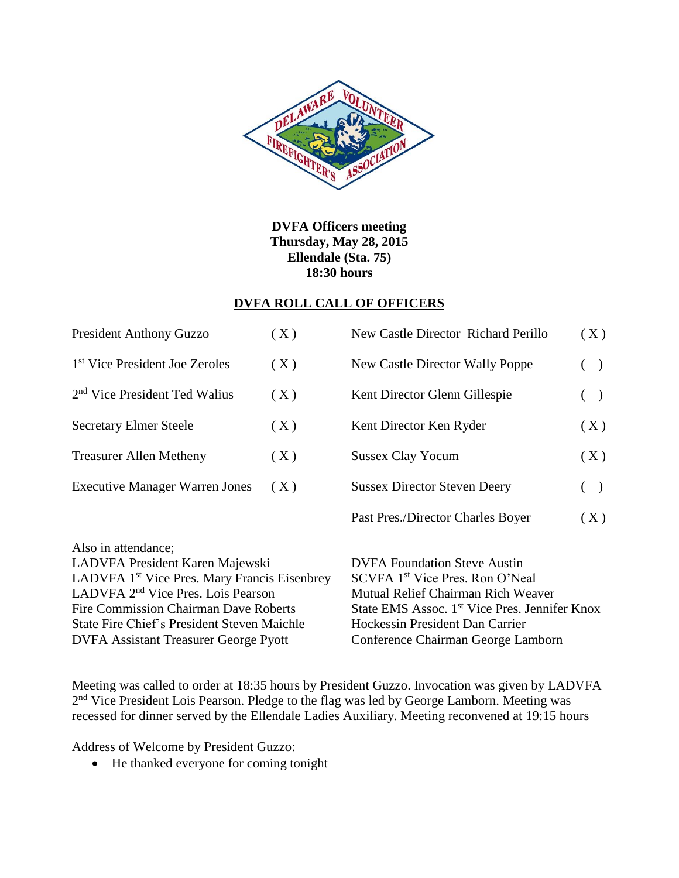

**DVFA Officers meeting Thursday, May 28, 2015 Ellendale (Sta. 75) 18:30 hours**

#### **DVFA ROLL CALL OF OFFICERS**

| <b>President Anthony Guzzo</b>                                                                                                                                       | (X) | New Castle Director Richard Perillo                                                                                      | (X)                |
|----------------------------------------------------------------------------------------------------------------------------------------------------------------------|-----|--------------------------------------------------------------------------------------------------------------------------|--------------------|
| 1 <sup>st</sup> Vice President Joe Zeroles                                                                                                                           | (X) | New Castle Director Wally Poppe                                                                                          | (<br>$\rightarrow$ |
| 2 <sup>nd</sup> Vice President Ted Walius                                                                                                                            | (X) | Kent Director Glenn Gillespie                                                                                            | (<br>$\rightarrow$ |
| <b>Secretary Elmer Steele</b>                                                                                                                                        | (X) | Kent Director Ken Ryder                                                                                                  | (X)                |
| <b>Treasurer Allen Metheny</b>                                                                                                                                       | (X) | <b>Sussex Clay Yocum</b>                                                                                                 | (X)                |
| <b>Executive Manager Warren Jones</b>                                                                                                                                | (X) | <b>Sussex Director Steven Deery</b>                                                                                      | $($ )              |
|                                                                                                                                                                      |     | Past Pres./Director Charles Boyer                                                                                        | (X)                |
| Also in attendance;<br>LADVFA President Karen Majewski<br>LADVFA 1 <sup>st</sup> Vice Pres. Mary Francis Eisenbrey<br>LADVFA 2 <sup>nd</sup> Vice Pres. Lois Pearson |     | <b>DVFA Foundation Steve Austin</b><br>SCVFA 1 <sup>st</sup> Vice Pres. Ron O'Neal<br>Mutual Relief Chairman Rich Weaver |                    |
| <b>Fire Commission Chairman Dave Roberts</b><br><b>State Fire Chief's President Steven Maichle</b>                                                                   |     | State EMS Assoc. 1 <sup>st</sup> Vice Pres. Jennifer Knox<br>Hockessin President Dan Carrier                             |                    |
| <b>DVFA Assistant Treasurer George Pyott</b>                                                                                                                         |     | Conference Chairman George Lamborn                                                                                       |                    |

Meeting was called to order at 18:35 hours by President Guzzo. Invocation was given by LADVFA 2<sup>nd</sup> Vice President Lois Pearson. Pledge to the flag was led by George Lamborn. Meeting was recessed for dinner served by the Ellendale Ladies Auxiliary. Meeting reconvened at 19:15 hours

Address of Welcome by President Guzzo:

• He thanked everyone for coming tonight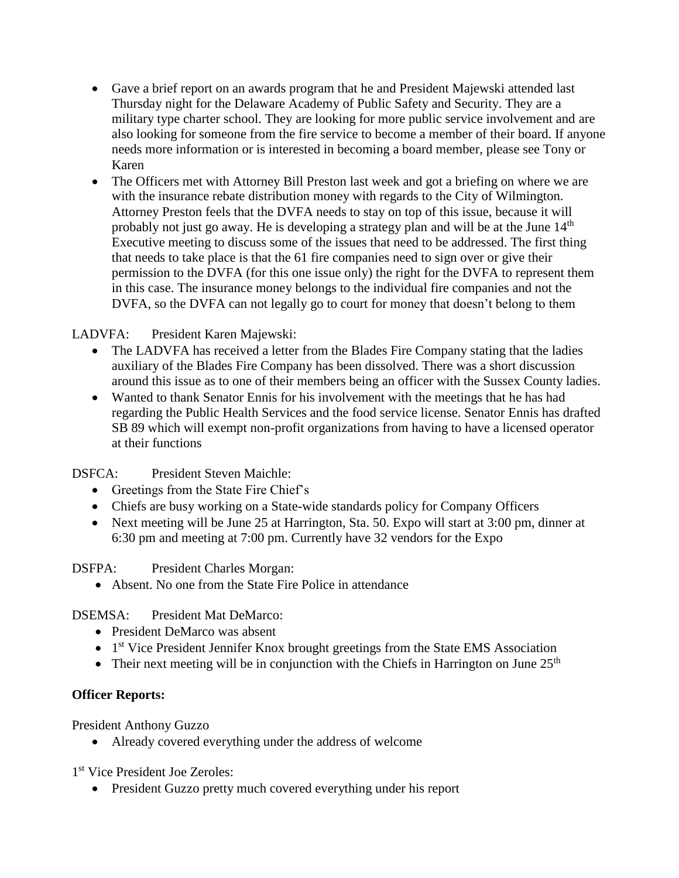- Gave a brief report on an awards program that he and President Majewski attended last Thursday night for the Delaware Academy of Public Safety and Security. They are a military type charter school. They are looking for more public service involvement and are also looking for someone from the fire service to become a member of their board. If anyone needs more information or is interested in becoming a board member, please see Tony or Karen
- The Officers met with Attorney Bill Preston last week and got a briefing on where we are with the insurance rebate distribution money with regards to the City of Wilmington. Attorney Preston feels that the DVFA needs to stay on top of this issue, because it will probably not just go away. He is developing a strategy plan and will be at the June  $14<sup>th</sup>$ Executive meeting to discuss some of the issues that need to be addressed. The first thing that needs to take place is that the 61 fire companies need to sign over or give their permission to the DVFA (for this one issue only) the right for the DVFA to represent them in this case. The insurance money belongs to the individual fire companies and not the DVFA, so the DVFA can not legally go to court for money that doesn't belong to them

## LADVFA: President Karen Majewski:

- The LADVFA has received a letter from the Blades Fire Company stating that the ladies auxiliary of the Blades Fire Company has been dissolved. There was a short discussion around this issue as to one of their members being an officer with the Sussex County ladies.
- Wanted to thank Senator Ennis for his involvement with the meetings that he has had regarding the Public Health Services and the food service license. Senator Ennis has drafted SB 89 which will exempt non-profit organizations from having to have a licensed operator at their functions

DSFCA: President Steven Maichle:

- Greetings from the State Fire Chief's
- Chiefs are busy working on a State-wide standards policy for Company Officers
- Next meeting will be June 25 at Harrington, Sta. 50. Expo will start at 3:00 pm, dinner at 6:30 pm and meeting at 7:00 pm. Currently have 32 vendors for the Expo

DSFPA: President Charles Morgan:

• Absent. No one from the State Fire Police in attendance

# DSEMSA: President Mat DeMarco:

- President DeMarco was absent
- 1<sup>st</sup> Vice President Jennifer Knox brought greetings from the State EMS Association
- Their next meeting will be in conjunction with the Chiefs in Harrington on June  $25<sup>th</sup>$

# **Officer Reports:**

President Anthony Guzzo

Already covered everything under the address of welcome

1 st Vice President Joe Zeroles:

• President Guzzo pretty much covered everything under his report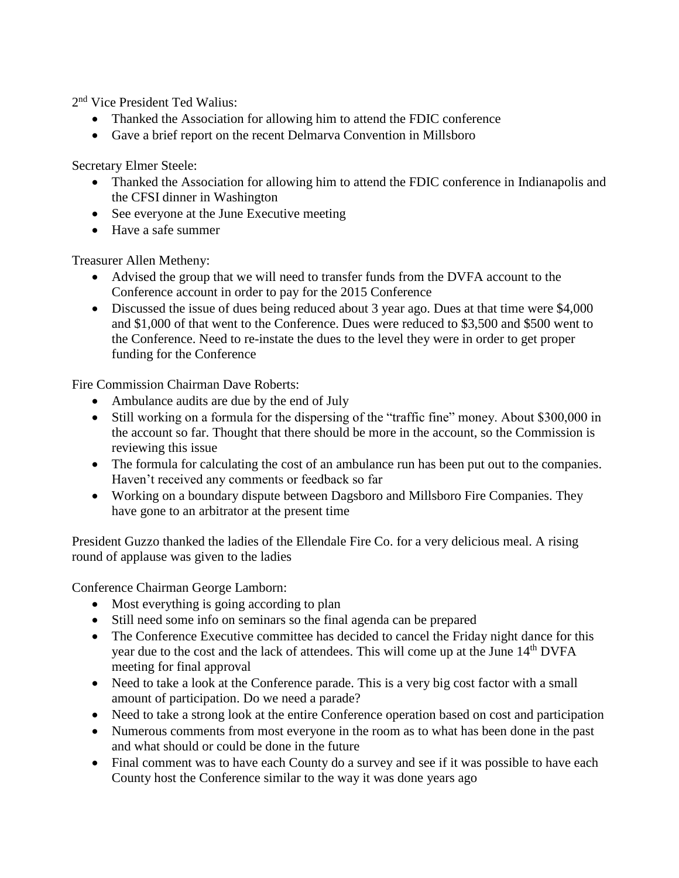2<sup>nd</sup> Vice President Ted Walius:

- Thanked the Association for allowing him to attend the FDIC conference
- Gave a brief report on the recent Delmarva Convention in Millsboro

Secretary Elmer Steele:

- Thanked the Association for allowing him to attend the FDIC conference in Indianapolis and the CFSI dinner in Washington
- See everyone at the June Executive meeting
- Have a safe summer

Treasurer Allen Metheny:

- Advised the group that we will need to transfer funds from the DVFA account to the Conference account in order to pay for the 2015 Conference
- Discussed the issue of dues being reduced about 3 year ago. Dues at that time were \$4,000 and \$1,000 of that went to the Conference. Dues were reduced to \$3,500 and \$500 went to the Conference. Need to re-instate the dues to the level they were in order to get proper funding for the Conference

Fire Commission Chairman Dave Roberts:

- Ambulance audits are due by the end of July
- Still working on a formula for the dispersing of the "traffic fine" money. About \$300,000 in the account so far. Thought that there should be more in the account, so the Commission is reviewing this issue
- The formula for calculating the cost of an ambulance run has been put out to the companies. Haven't received any comments or feedback so far
- Working on a boundary dispute between Dagsboro and Millsboro Fire Companies. They have gone to an arbitrator at the present time

President Guzzo thanked the ladies of the Ellendale Fire Co. for a very delicious meal. A rising round of applause was given to the ladies

Conference Chairman George Lamborn:

- Most everything is going according to plan
- Still need some info on seminars so the final agenda can be prepared
- The Conference Executive committee has decided to cancel the Friday night dance for this year due to the cost and the lack of attendees. This will come up at the June 14<sup>th</sup> DVFA meeting for final approval
- Need to take a look at the Conference parade. This is a very big cost factor with a small amount of participation. Do we need a parade?
- Need to take a strong look at the entire Conference operation based on cost and participation
- Numerous comments from most everyone in the room as to what has been done in the past and what should or could be done in the future
- Final comment was to have each County do a survey and see if it was possible to have each County host the Conference similar to the way it was done years ago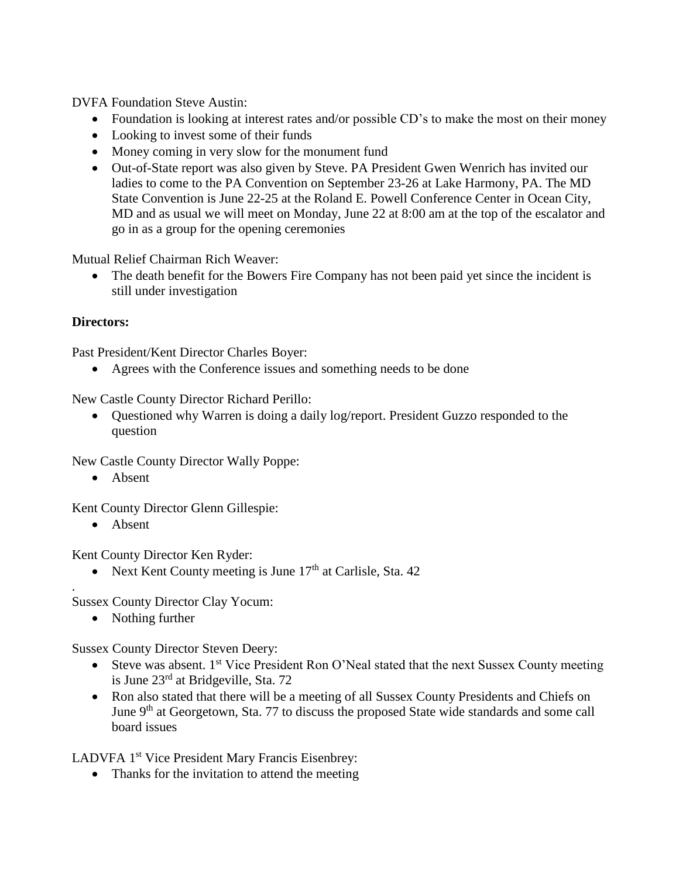DVFA Foundation Steve Austin:

- Foundation is looking at interest rates and/or possible CD's to make the most on their money
- Looking to invest some of their funds
- Money coming in very slow for the monument fund
- Out-of-State report was also given by Steve. PA President Gwen Wenrich has invited our ladies to come to the PA Convention on September 23-26 at Lake Harmony, PA. The MD State Convention is June 22-25 at the Roland E. Powell Conference Center in Ocean City, MD and as usual we will meet on Monday, June 22 at 8:00 am at the top of the escalator and go in as a group for the opening ceremonies

Mutual Relief Chairman Rich Weaver:

• The death benefit for the Bowers Fire Company has not been paid yet since the incident is still under investigation

#### **Directors:**

Past President/Kent Director Charles Boyer:

• Agrees with the Conference issues and something needs to be done

New Castle County Director Richard Perillo:

 Questioned why Warren is doing a daily log/report. President Guzzo responded to the question

New Castle County Director Wally Poppe:

• Absent

Kent County Director Glenn Gillespie:

• Absent

.

Kent County Director Ken Ryder:

• Next Kent County meeting is June  $17<sup>th</sup>$  at Carlisle, Sta. 42

Sussex County Director Clay Yocum:

• Nothing further

Sussex County Director Steven Deery:

- Steve was absent.  $1^{st}$  Vice President Ron O'Neal stated that the next Sussex County meeting is June 23rd at Bridgeville, Sta. 72
- Ron also stated that there will be a meeting of all Sussex County Presidents and Chiefs on June 9<sup>th</sup> at Georgetown, Sta. 77 to discuss the proposed State wide standards and some call board issues

LADVFA 1<sup>st</sup> Vice President Mary Francis Eisenbrey:

• Thanks for the invitation to attend the meeting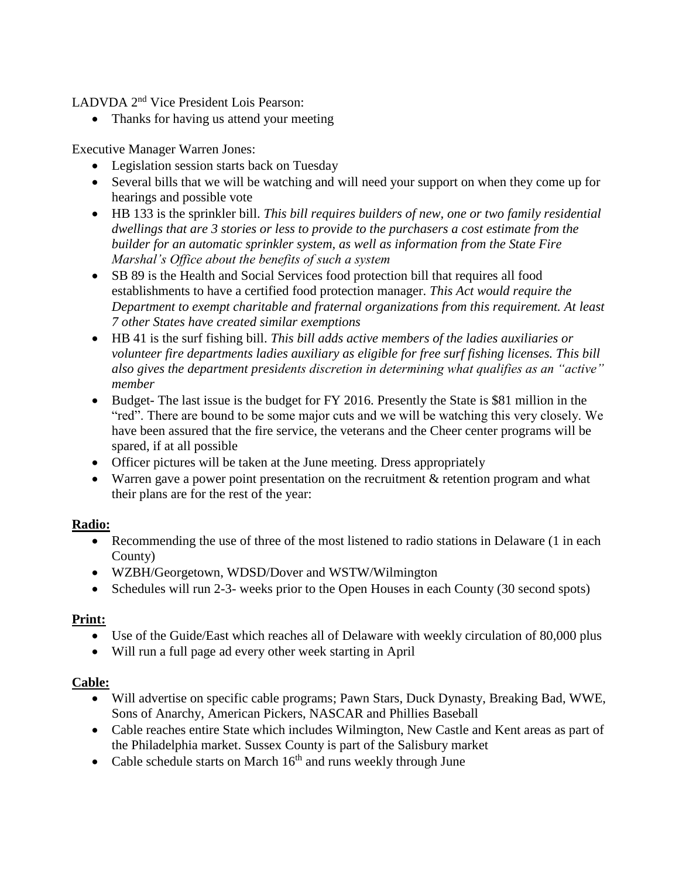LADVDA 2<sup>nd</sup> Vice President Lois Pearson:

• Thanks for having us attend your meeting

Executive Manager Warren Jones:

- Legislation session starts back on Tuesday
- Several bills that we will be watching and will need your support on when they come up for hearings and possible vote
- HB 133 is the sprinkler bill. *This bill requires builders of new, one or two family residential dwellings that are 3 stories or less to provide to the purchasers a cost estimate from the builder for an automatic sprinkler system, as well as information from the State Fire Marshal's Office about the benefits of such a system*
- SB 89 is the Health and Social Services food protection bill that requires all food establishments to have a certified food protection manager. *This Act would require the Department to exempt charitable and fraternal organizations from this requirement. At least 7 other States have created similar exemptions*
- HB 41 is the surf fishing bill. *This bill adds active members of the ladies auxiliaries or volunteer fire departments ladies auxiliary as eligible for free surf fishing licenses. This bill also gives the department presidents discretion in determining what qualifies as an "active" member*
- Budget- The last issue is the budget for FY 2016. Presently the State is \$81 million in the "red". There are bound to be some major cuts and we will be watching this very closely. We have been assured that the fire service, the veterans and the Cheer center programs will be spared, if at all possible
- Officer pictures will be taken at the June meeting. Dress appropriately
- Warren gave a power point presentation on the recruitment & retention program and what their plans are for the rest of the year:

## **Radio:**

- Recommending the use of three of the most listened to radio stations in Delaware (1 in each County)
- WZBH/Georgetown, WDSD/Dover and WSTW/Wilmington
- Schedules will run 2-3- weeks prior to the Open Houses in each County (30 second spots)

## **Print:**

- Use of the Guide/East which reaches all of Delaware with weekly circulation of 80,000 plus
- Will run a full page ad every other week starting in April

## **Cable:**

- Will advertise on specific cable programs; Pawn Stars, Duck Dynasty, Breaking Bad, WWE, Sons of Anarchy, American Pickers, NASCAR and Phillies Baseball
- Cable reaches entire State which includes Wilmington, New Castle and Kent areas as part of the Philadelphia market. Sussex County is part of the Salisbury market
- Cable schedule starts on March  $16<sup>th</sup>$  and runs weekly through June